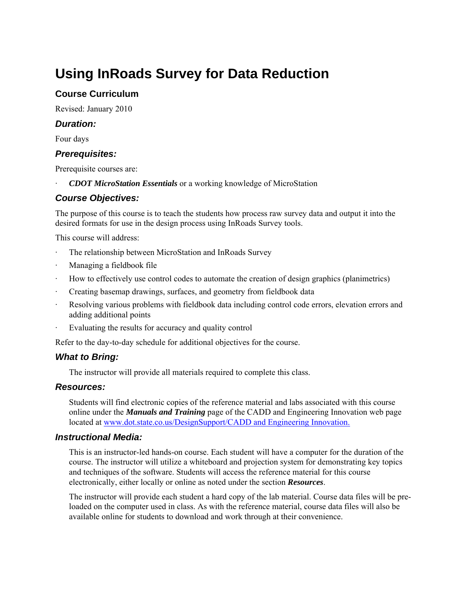# **Using InRoads Survey for Data Reduction**

## **Course Curriculum**

Revised: January 2010

### *Duration:*

Four days

### *Prerequisites:*

Prerequisite courses are:

· *CDOT MicroStation Essentials* or a working knowledge of MicroStation

### *Course Objectives:*

The purpose of this course is to teach the students how process raw survey data and output it into the desired formats for use in the design process using InRoads Survey tools.

This course will address:

- The relationship between MicroStation and InRoads Survey
- · Managing a fieldbook file
- · How to effectively use control codes to automate the creation of design graphics (planimetrics)
- · Creating basemap drawings, surfaces, and geometry from fieldbook data
- Resolving various problems with fieldbook data including control code errors, elevation errors and adding additional points
- Evaluating the results for accuracy and quality control

Refer to the day-to-day schedule for additional objectives for the course.

#### *What to Bring:*

The instructor will provide all materials required to complete this class.

#### *Resources:*

Students will find electronic copies of the reference material and labs associated with this course online under the *Manuals and Training* page of the CADD and Engineering Innovation web page located at www.dot.state.co.us/DesignSupport/CADD and Engineering Innovation.

#### *Instructional Media:*

This is an instructor-led hands-on course. Each student will have a computer for the duration of the course. The instructor will utilize a whiteboard and projection system for demonstrating key topics and techniques of the software. Students will access the reference material for this course electronically, either locally or online as noted under the section *Resources*.

The instructor will provide each student a hard copy of the lab material. Course data files will be preloaded on the computer used in class. As with the reference material, course data files will also be available online for students to download and work through at their convenience.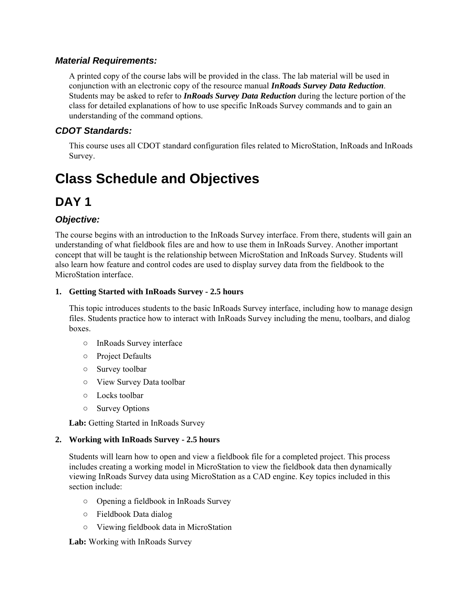### *Material Requirements:*

A printed copy of the course labs will be provided in the class. The lab material will be used in conjunction with an electronic copy of the resource manual *InRoads Survey Data Reduction*. Students may be asked to refer to *InRoads Survey Data Reduction* during the lecture portion of the class for detailed explanations of how to use specific InRoads Survey commands and to gain an understanding of the command options.

## *CDOT Standards:*

This course uses all CDOT standard configuration files related to MicroStation, InRoads and InRoads Survey.

# **Class Schedule and Objectives**

# **DAY 1**

# *Objective:*

The course begins with an introduction to the InRoads Survey interface. From there, students will gain an understanding of what fieldbook files are and how to use them in InRoads Survey. Another important concept that will be taught is the relationship between MicroStation and InRoads Survey. Students will also learn how feature and control codes are used to display survey data from the fieldbook to the MicroStation interface.

#### **1. Getting Started with InRoads Survey - 2.5 hours**

This topic introduces students to the basic InRoads Survey interface, including how to manage design files. Students practice how to interact with InRoads Survey including the menu, toolbars, and dialog boxes.

- InRoads Survey interface
- Project Defaults
- Survey toolbar
- View Survey Data toolbar
- Locks toolbar
- Survey Options

**Lab:** Getting Started in InRoads Survey

#### **2. Working with InRoads Survey - 2.5 hours**

Students will learn how to open and view a fieldbook file for a completed project. This process includes creating a working model in MicroStation to view the fieldbook data then dynamically viewing InRoads Survey data using MicroStation as a CAD engine. Key topics included in this section include:

- Opening a fieldbook in InRoads Survey
- Fieldbook Data dialog
- Viewing fieldbook data in MicroStation

**Lab:** Working with InRoads Survey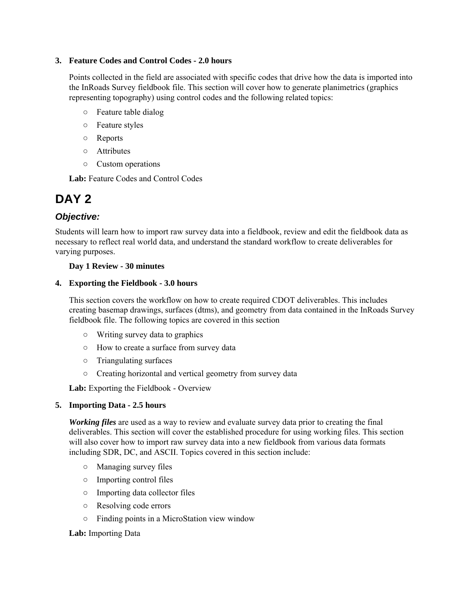#### **3. Feature Codes and Control Codes - 2.0 hours**

Points collected in the field are associated with specific codes that drive how the data is imported into the InRoads Survey fieldbook file. This section will cover how to generate planimetrics (graphics representing topography) using control codes and the following related topics:

- Feature table dialog
- Feature styles
- Reports
- Attributes
- Custom operations

**Lab:** Feature Codes and Control Codes

# **DAY 2**

# *Objective:*

Students will learn how to import raw survey data into a fieldbook, review and edit the fieldbook data as necessary to reflect real world data, and understand the standard workflow to create deliverables for varying purposes.

#### **Day 1 Review - 30 minutes**

#### **4. Exporting the Fieldbook - 3.0 hours**

This section covers the workflow on how to create required CDOT deliverables. This includes creating basemap drawings, surfaces (dtms), and geometry from data contained in the InRoads Survey fieldbook file. The following topics are covered in this section

- Writing survey data to graphics
- How to create a surface from survey data
- Triangulating surfaces
- Creating horizontal and vertical geometry from survey data

**Lab:** Exporting the Fieldbook - Overview

#### **5. Importing Data - 2.5 hours**

*Working files* are used as a way to review and evaluate survey data prior to creating the final deliverables. This section will cover the established procedure for using working files. This section will also cover how to import raw survey data into a new fieldbook from various data formats including SDR, DC, and ASCII. Topics covered in this section include:

- Managing survey files
- Importing control files
- Importing data collector files
- Resolving code errors
- Finding points in a MicroStation view window

#### **Lab:** Importing Data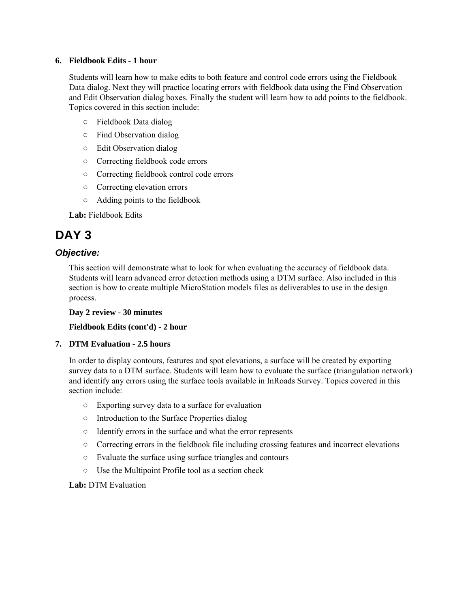#### **6. Fieldbook Edits - 1 hour**

Students will learn how to make edits to both feature and control code errors using the Fieldbook Data dialog. Next they will practice locating errors with fieldbook data using the Find Observation and Edit Observation dialog boxes. Finally the student will learn how to add points to the fieldbook. Topics covered in this section include:

- Fieldbook Data dialog
- Find Observation dialog
- Edit Observation dialog
- Correcting fieldbook code errors
- Correcting fieldbook control code errors
- Correcting elevation errors
- Adding points to the fieldbook

**Lab:** Fieldbook Edits

# **DAY 3**

#### *Objective:*

This section will demonstrate what to look for when evaluating the accuracy of fieldbook data. Students will learn advanced error detection methods using a DTM surface. Also included in this section is how to create multiple MicroStation models files as deliverables to use in the design process.

**Day 2 review - 30 minutes** 

#### **Fieldbook Edits (cont'd) - 2 hour**

#### **7. DTM Evaluation - 2.5 hours**

In order to display contours, features and spot elevations, a surface will be created by exporting survey data to a DTM surface. Students will learn how to evaluate the surface (triangulation network) and identify any errors using the surface tools available in InRoads Survey. Topics covered in this section include:

- Exporting survey data to a surface for evaluation
- Introduction to the Surface Properties dialog
- Identify errors in the surface and what the error represents
- Correcting errors in the fieldbook file including crossing features and incorrect elevations
- Evaluate the surface using surface triangles and contours
- Use the Multipoint Profile tool as a section check

#### **Lab:** DTM Evaluation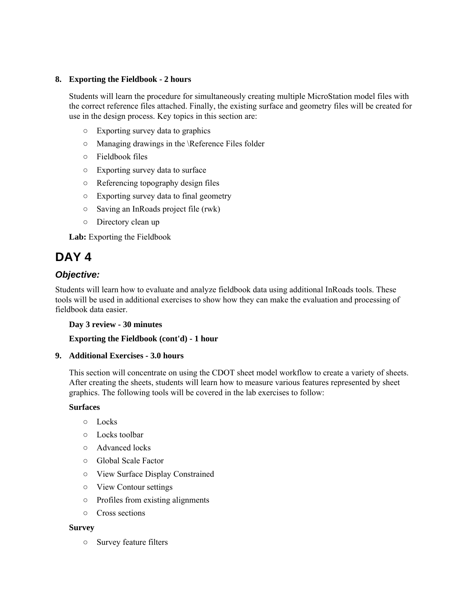#### **8. Exporting the Fieldbook - 2 hours**

Students will learn the procedure for simultaneously creating multiple MicroStation model files with the correct reference files attached. Finally, the existing surface and geometry files will be created for use in the design process. Key topics in this section are:

- Exporting survey data to graphics
- Managing drawings in the \Reference Files folder
- Fieldbook files
- Exporting survey data to surface
- Referencing topography design files
- Exporting survey data to final geometry
- Saving an InRoads project file (rwk)
- Directory clean up

**Lab:** Exporting the Fieldbook

# **DAY 4**

# *Objective:*

Students will learn how to evaluate and analyze fieldbook data using additional InRoads tools. These tools will be used in additional exercises to show how they can make the evaluation and processing of fieldbook data easier.

#### **Day 3 review - 30 minutes**

#### **Exporting the Fieldbook (cont'd) - 1 hour**

#### **9. Additional Exercises - 3.0 hours**

This section will concentrate on using the CDOT sheet model workflow to create a variety of sheets. After creating the sheets, students will learn how to measure various features represented by sheet graphics. The following tools will be covered in the lab exercises to follow:

#### **Surfaces**

- Locks
- Locks toolbar
- Advanced locks
- Global Scale Factor
- View Surface Display Constrained
- View Contour settings
- Profiles from existing alignments
- Cross sections

#### **Survey**

○ Survey feature filters